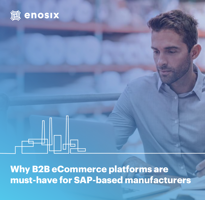

**Why B2B eCommerce platforms are must-have for SAP-based manufacturers**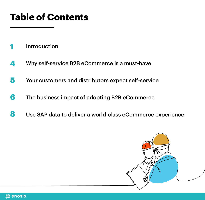# **Table of Contents**

- [Introduction](#page-2-0) **1**
- Why [self-service B2B eCommerce is a must-have](#page-5-0)  **4**
- [Your customers and distributors expect self-service](#page-6-0) **5**
- [The business impact of adopting B2B eCommerce](#page-7-0) **6**
- Use [SAP data to deliver a world-class eCommerce experience](#page-8-0) **8**

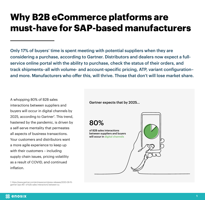#### <span id="page-2-0"></span>**Why B2B eCommerce platforms are must-have for SAP-based manufacturers**

Only 17% of buyers' time is spent meeting with potential suppliers when they are considering a purchase, according to Gartner. Distributors and dealers now expect a fullservice online portal with the ability to purchase, check the status of their orders, and track shipments–all with volume- and account-specific pricing, ATP, variant configuration– and more. Manufacturers who offer this, will thrive. Those that don't will lose market share.

A whopping 80% of B2B sales interactions between suppliers and buyers will occur in digital channels by 2025, according to Gartner<sup>1</sup>. This trend, hastened by the pandemic, is driven by a self-serve mentality that permeates all aspects of business transactions. Your customers and distributors want a more agile experience to keep up with their customers – including supply chain issues, pricing volatility as a result of COVID, and continued inflation.

Gartner expects that by 2025...

80%



1. https://www.gartner.com/en/newsroom/press-releases/2020-09-15 gartner-says-80--of-b2b-sales-interactions-between-su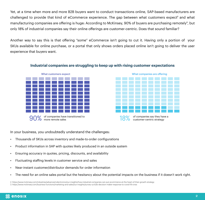Yet, at a time when more and more B2B buyers want to conduct transactions online, SAP-based manufacturers are challenged to provide that kind of eCommerce experience. The gap between what customers expect<sup>2</sup> and what manufacturing companies are offering is huge: According to McKinsey, 90% of buyers are purchasing remotely<sup>3</sup>, but only 18% of industrial companies say their online offerings are customer-centric. Does that sound familiar?

Another way to say this is that offering "some" eCommerce isn't going to cut it. Having only a portion of your SKUs available for online purchase, or a portal that only shows orders placed online isn't going to deliver the user experience that buyers want.



#### **Industrial companies are struggling to keep up with rising customer expectations**



In your business, you undoubtedly understand the challenges:

- Thousands of SKUs across inventory and made-to-order configurations
- Product information in SAP with quotes likely produced in an outside system
- Ensuring accuracy in quotes, pricing, discounts, and availability
- Fluctuating staffing levels in customer service and sales
- Near-instant customer/distributor demands for order information
- The need for an online sales portal but the hesitancy about the potential impacts on the business if it doesn't work right.

2. https://www.mckinsey.com/industries/advanced-electronics/our-insights/how-industrial-companies-can-put-ecommerce-at-the-heart-of-their-growth-strategy

3. https://www.mckinsey.com/business-functions/marketing-and-sales/our-insights/survey-us-b2b-decision-maker-response-to-covid-19-crisis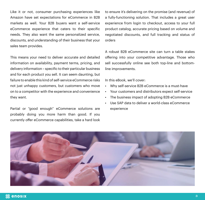Like it or not, consumer purchasing experiences like Amazon have set expectations for eCommerce in B2B markets as well. Your B2B buyers want a self-service eCommerce experience that caters to their specific needs. They also want the same personalized service, discounts, and understanding of their business that your sales team provides.

This means your need to deliver accurate and detailed information on availability, payment terms, pricing, and delivery information – specific to their particular business and for each product you sell. It can seem daunting, but failure to enable this kind of self-service eCommerce risks not just unhappy customers, but customers who move on to a competitor with the experience and convenience they want.

Partial or "good enough" eCommerce solutions are probably doing you more harm than good. If you currently offer eCommerce capabilities, take a hard look to ensure it's delivering on the promise (and revenue) of a fully-functioning solution. That includes a great user experience from login to checkout, access to your full product catalog, accurate pricing based on volume and negotiated discounts, and full tracking and status of orders

A robust B2B eCommerce site can turn a table stakes offering into your competitive advantage. Those who sell successfully online see both top-line and bottomline improvements.

In this eBook, we'll cover:

- Why self-service B2B eCommerce is a must-have
- Your customers and distributors expect self-service
- The business impact of adopting B2B eCommerce
- Use SAP data to deliver a world-class eCommerce experience

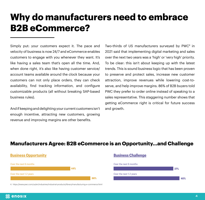## <span id="page-5-0"></span>**Why do manufacturers need to embrace B2B eCommerce?**

Simply put: your customers expect it. The pace and velocity of business is now 24/7 and eCommerce enables customers to engage with you whenever they want. It's like having a sales team that's open all the time. And, when done right, it's also like having customer service/ account teams available around the clock because your customers can not only place orders, they can check availability, find tracking information, and configure customizable products (all without breaking SAP-based business rules).

And if keeping and delighting your current customers isn't enough incentive, attracting new customers, growing revenue and improving margins are other benefits.

4. https://www.pwc.com/us/en/industries/industrial-products/library/manufacturing-e-commerce.html

Two-thirds of US manufacturers surveyed by PWC<sup>4</sup> in 2021 said that implementing digital marketing and sales over the next two years was a 'high' or 'very high' priority. To be clear: this isn't about keeping up with the latest trends. This is sound business logic that has been proven to preserve and protect sales, increase new customer attraction, improve revenues while lowering cost-toserve, and help improve margins. 86% of B2B buyers told PWC they prefer to order online instead of speaking to a sales representative. This staggering number shows that getting eCommerce right is critical for future success and growth.

#### **Manufacturers Agree: B2B eCommerce is an Opportunity…and Challenge**

| <b>Business Opportunity</b> |     |     | <b>Business Challenge</b> |     |
|-----------------------------|-----|-----|---------------------------|-----|
| Over the next 6 months      | 44% |     | Over the next 6 months    | 37% |
| Over the next 1-2 years     |     |     | Over the next 1-2 years   |     |
|                             |     | 66% |                           | 40% |

**瀜 enosıx**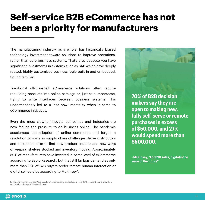## <span id="page-6-0"></span>**Self-service B2B eCommerce has not been a priority for manufacturers**

The manufacturing industry, as a whole, has historically biased technology investment toward solutions to improve operations, rather than core business systems. That's also because you have significant investments in systems such as SAP which have deeply rooted, highly customized business logic built-in and embedded. Sound familiar?

Traditional off-the-shelf eCommerce solutions often require rebuilding products into online catalogs or, just as cumbersome, trying to write interfaces between business systems. This understandably led to a 'not now' mentality when it came to eCommerce initiatives.

Even the most slow-to-innovate companies and industries are now feeling the pressure to do business online. The pandemic accelerated the adoption of online commerce and forged a revolution of sorts as supply chain challenges drove distributors and customers alike to find new product sources and new ways of keeping shelves stocked and inventory moving. Approximately 50% of manufacturers have invested in some level of eCommerce according to Sapio Research, but that still far lags demand as only more than 75% of B2B buyers prefer remote human interaction or digital self-service according to McKinsey<sup>5</sup>.

**70% of B2B decision makers say they are open to making new, fully self-serve or remote purchases in excess of \$50,000, and 27% would spend more than \$500,000.**

**- McKinsey, "For B2B sales, digital is the wave of the future"**

<sup>5.</sup> https://www.mckinsey.com/business-functions/marketing-and-sales/our-insights/these-eight-charts-show-howcovid-19-has-changed-b2b-sales-forever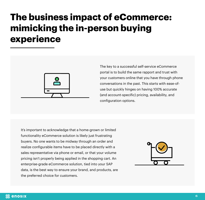## <span id="page-7-0"></span>**The business impact of eCommerce: mimicking the in-person buying experience**



The key to a successful self-service eCommerce portal is to build the same rapport and trust with your customers online that you have through phone conversations in the past. This starts with ease-ofuse but quickly hinges on having 100% accurate (and account-specific) pricing, availability, and configuration options.

It's important to acknowledge that a home-grown or limited functionality eCommerce solution is likely just frustrating buyers. No one wants to be midway through an order and realize configurable items have to be placed directly with a sales representative via phone or email, or that your volume pricing isn't properly being applied in the shopping cart. An enterprise-grade eCommerce solution, tied into your SAP data, is the best way to ensure your brand, and products, are the preferred choice for customers.

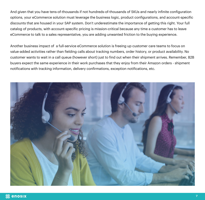<span id="page-8-0"></span>And given that you have tens-of-thousands if not hundreds-of-thousands of SKUs and nearly infinite configuration options, your eCommerce solution must leverage the business logic, product configurations, and account-specific discounts that are housed in your SAP system. Don't underestimate the importance of getting this right. Your full catalog of products, with account-specific pricing is mission-critical because any time a customer has to leave eCommerce to talk to a sales representative, you are adding unwanted friction to the buying experience.

Another business impact of a full-service eCommerce solution is freeing up customer care teams to focus on value-added activities rather than fielding calls about tracking numbers, order history, or product availability. No customer wants to wait in a call queue (however short) just to find out when their shipment arrives. Remember, B2B buyers expect the same experience in their work purchases that they enjoy from their Amazon orders - shipment notifications with tracking information, delivery confirmations, exception notifications, etc.

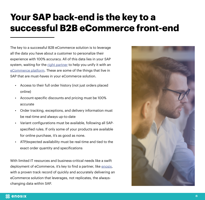## **Your SAP back-end is the key to a successful B2B eCommerce front-end**

The key to a successful B2B eCommerce solution is to leverage all the data you have about a customer to personalize their experience with 100% accuracy. All of this data lies in your SAP system, waiting for the [right partner](https://enosix.com) to help you unify it with an [eCommerce platform](https://enosix.com/salesforce-commerce-cloud/). These are some of the things that live in SAP that are must-haves in your eCommerce solution.

- Access to their full order history (not just orders placed online)
- Account-specific discounts and pricing must be 100% accurate
- Order tracking, exceptions, and delivery information must be real-time and always up-to-date
- Variant configurations must be available, following all SAPspecified rules. If only some of your products are available for online purchase, it's as good as none.
- ATP/expected availability must be real-time and tied to the exact order quantity and specifications

With limited IT resources and business-critical needs like a swift deployment of eCommerce, it's key to find a partner, like [enosix,](http://enosix.com) with a proven track record of quickly and accurately delivering an eCommerce solution that leverages, not replicates, the alwayschanging data within SAP.

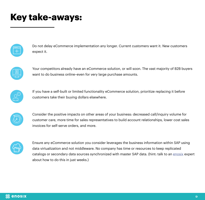### **Key take-aways:**

| ., |  |
|----|--|
|    |  |
|    |  |
|    |  |
|    |  |

Do not delay eCommerce implementation any longer. Current customers want it. New customers expect it.



Your competitors already have an eCommerce solution, or will soon. The vast majority of B2B buyers want to do business online–even for very large purchase amounts.



If you have a self-built or limited functionality eCommerce solution, prioritize replacing it before customers take their buying dollars elsewhere.



Consider the positive impacts on other areas of your business: decreased call/inquiry volume for customer care, more time for sales representatives to build account relationships, lower cost sales invoices for self-serve orders, and more.



Ensure any eCommerce solution you consider leverages the business information within SAP using data virtualization and not middleware. No company has time or resources to keep replicated catalogs or secondary data sources synchronized with master SAP data. (hint: talk to an [enosix](http://https://enosix.com/request-a-demo) expert about how to do this in just weeks.)